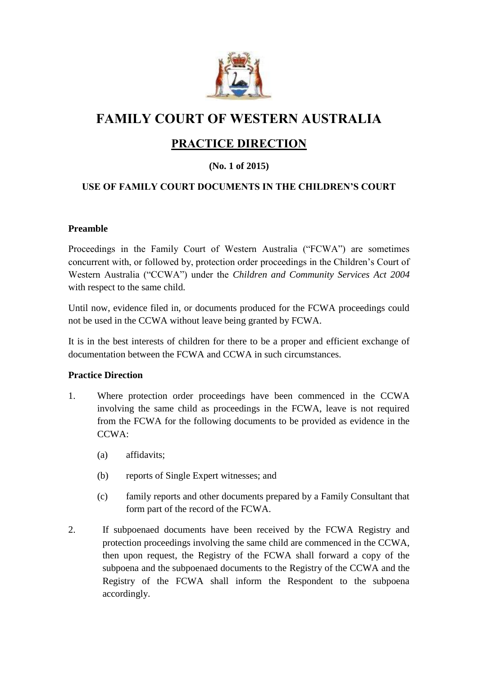

# **FAMILY COURT OF WESTERN AUSTRALIA**

# **PRACTICE DIRECTION**

# **(No. 1 of 2015)**

## **USE OF FAMILY COURT DOCUMENTS IN THE CHILDREN'S COURT**

#### **Preamble**

Proceedings in the Family Court of Western Australia ("FCWA") are sometimes concurrent with, or followed by, protection order proceedings in the Children's Court of Western Australia ("CCWA") under the *Children and Community Services Act 2004* with respect to the same child.

Until now, evidence filed in, or documents produced for the FCWA proceedings could not be used in the CCWA without leave being granted by FCWA.

It is in the best interests of children for there to be a proper and efficient exchange of documentation between the FCWA and CCWA in such circumstances.

#### **Practice Direction**

- 1. Where protection order proceedings have been commenced in the CCWA involving the same child as proceedings in the FCWA, leave is not required from the FCWA for the following documents to be provided as evidence in the CCWA:
	- (a) affidavits;
	- (b) reports of Single Expert witnesses; and
	- (c) family reports and other documents prepared by a Family Consultant that form part of the record of the FCWA.
- 2. If subpoenaed documents have been received by the FCWA Registry and protection proceedings involving the same child are commenced in the CCWA, then upon request, the Registry of the FCWA shall forward a copy of the subpoena and the subpoenaed documents to the Registry of the CCWA and the Registry of the FCWA shall inform the Respondent to the subpoena accordingly.